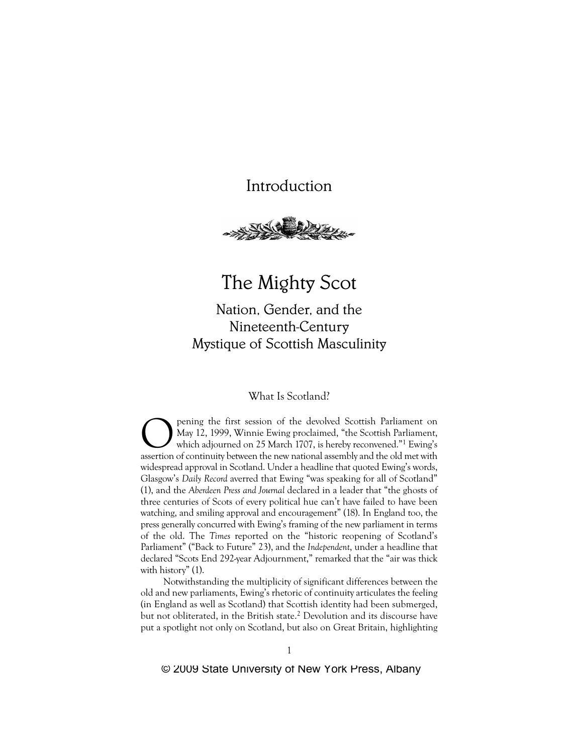

# The Mighty Scot

Nation, Gender, and the Nineteenth-Century Mystique of Scottish Masculinity

# What Is Scotland?

**Opening the first session of the devolved Scottish Parliament on**<br>May 12, 1999, Winnie Ewing proclaimed, "the Scottish Parliament,<br>which adjourned on 25 March 1707, is hereby reconvened."<sup>1</sup> Ewing's<br>assertion of continuit May 12, 1999, Winnie Ewing proclaimed, "the Scottish Parliament, which adjourned on 25 March 1707, is hereby reconvened."1 Ewing's assertion of continuity between the new national assembly and the old met with widespread approval in Scotland. Under a headline that quoted Ewing's words, Glasgow's *Daily Record* averred that Ewing "was speaking for all of Scotland" (1), and the *Aberdeen Press and Journal* declared in a leader that "the ghosts of three centuries of Scots of every political hue can't have failed to have been watching, and smiling approval and encouragement" (18). In England too, the press generally concurred with Ewing's framing of the new parliament in terms of the old. The *Times* reported on the "historic reopening of Scotland's Parliament" ("Back to Future" 23), and the *Independent*, under a headline that declared "Scots End 292-year Adjournment," remarked that the "air was thick with history" (1).

Notwithstanding the multiplicity of significant differences between the old and new parliaments, Ewing's rhetoric of continuity articulates the feeling (in England as well as Scotland) that Scottish identity had been submerged, but not obliterated, in the British state.<sup>2</sup> Devolution and its discourse have put a spotlight not only on Scotland, but also on Great Britain, highlighting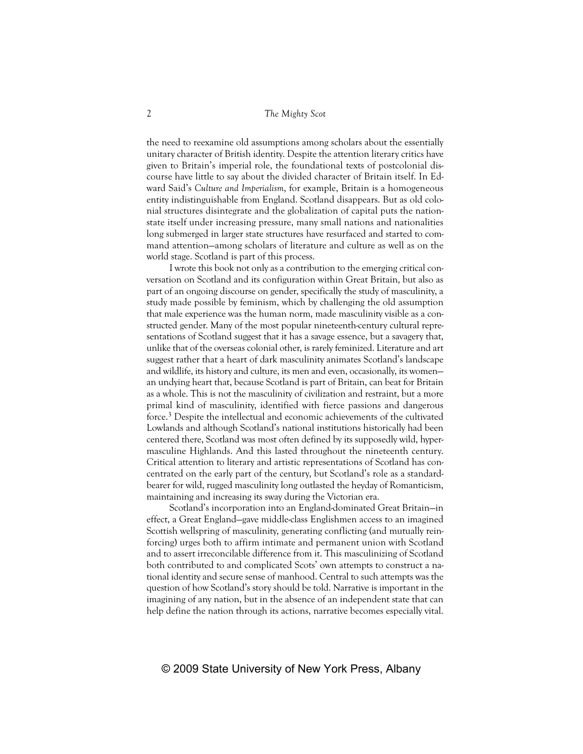the need to reexamine old assumptions among scholars about the essentially unitary character of British identity. Despite the attention literary critics have given to Britain's imperial role, the foundational texts of postcolonial discourse have little to say about the divided character of Britain itself. In Edward Said's *Culture and Imperialism*, for example, Britain is a homogeneous entity indistinguishable from England. Scotland disappears. But as old colonial structures disintegrate and the globalization of capital puts the nationstate itself under increasing pressure, many small nations and nationalities long submerged in larger state structures have resurfaced and started to command attention—among scholars of literature and culture as well as on the world stage. Scotland is part of this process.

I wrote this book not only as a contribution to the emerging critical conversation on Scotland and its configuration within Great Britain, but also as part of an ongoing discourse on gender, specifically the study of masculinity, a study made possible by feminism, which by challenging the old assumption that male experience was the human norm, made masculinity visible as a constructed gender. Many of the most popular nineteenth-century cultural representations of Scotland suggest that it has a savage essence, but a savagery that, unlike that of the overseas colonial other, is rarely feminized. Literature and art suggest rather that a heart of dark masculinity animates Scotland's landscape and wildlife, its history and culture, its men and even, occasionally, its women an undying heart that, because Scotland is part of Britain, can beat for Britain as a whole. This is not the masculinity of civilization and restraint, but a more primal kind of masculinity, identified with fierce passions and dangerous force.3 Despite the intellectual and economic achievements of the cultivated Lowlands and although Scotland's national institutions historically had been centered there, Scotland was most often defined by its supposedly wild, hypermasculine Highlands. And this lasted throughout the nineteenth century. Critical attention to literary and artistic representations of Scotland has concentrated on the early part of the century, but Scotland's role as a standardbearer for wild, rugged masculinity long outlasted the heyday of Romanticism, maintaining and increasing its sway during the Victorian era.

Scotland's incorporation into an England-dominated Great Britain—in effect, a Great England—gave middle-class Englishmen access to an imagined Scottish wellspring of masculinity, generating conflicting (and mutually reinforcing) urges both to affirm intimate and permanent union with Scotland and to assert irreconcilable difference from it. This masculinizing of Scotland both contributed to and complicated Scots' own attempts to construct a national identity and secure sense of manhood. Central to such attempts was the question of how Scotland's story should be told. Narrative is important in the imagining of any nation, but in the absence of an independent state that can help define the nation through its actions, narrative becomes especially vital.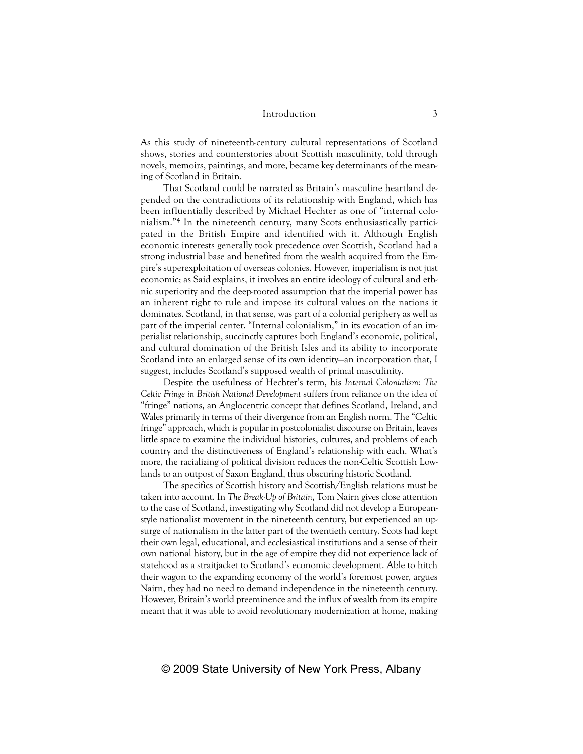As this study of nineteenth-century cultural representations of Scotland shows, stories and counterstories about Scottish masculinity, told through novels, memoirs, paintings, and more, became key determinants of the meaning of Scotland in Britain.

That Scotland could be narrated as Britain's masculine heartland depended on the contradictions of its relationship with England, which has been influentially described by Michael Hechter as one of "internal colonialism."4 In the nineteenth century, many Scots enthusiastically participated in the British Empire and identified with it. Although English economic interests generally took precedence over Scottish, Scotland had a strong industrial base and benefited from the wealth acquired from the Empire's superexploitation of overseas colonies. However, imperialism is not just economic; as Said explains, it involves an entire ideology of cultural and ethnic superiority and the deep-rooted assumption that the imperial power has an inherent right to rule and impose its cultural values on the nations it dominates. Scotland, in that sense, was part of a colonial periphery as well as part of the imperial center. "Internal colonialism," in its evocation of an imperialist relationship, succinctly captures both England's economic, political, and cultural domination of the British Isles and its ability to incorporate Scotland into an enlarged sense of its own identity—an incorporation that, I suggest, includes Scotland's supposed wealth of primal masculinity.

Despite the usefulness of Hechter's term, his *Internal Colonialism: The Celtic Fringe in British National Development* suffers from reliance on the idea of "fringe" nations, an Anglocentric concept that defines Scotland, Ireland, and Wales primarily in terms of their divergence from an English norm. The "Celtic fringe" approach, which is popular in postcolonialist discourse on Britain, leaves little space to examine the individual histories, cultures, and problems of each country and the distinctiveness of England's relationship with each. What's more, the racializing of political division reduces the non-Celtic Scottish Lowlands to an outpost of Saxon England, thus obscuring historic Scotland.

The specifics of Scottish history and Scottish/English relations must be taken into account. In *The Break-Up of Britain*, Tom Nairn gives close attention to the case of Scotland, investigating why Scotland did not develop a Europeanstyle nationalist movement in the nineteenth century, but experienced an upsurge of nationalism in the latter part of the twentieth century. Scots had kept their own legal, educational, and ecclesiastical institutions and a sense of their own national history, but in the age of empire they did not experience lack of statehood as a straitjacket to Scotland's economic development. Able to hitch their wagon to the expanding economy of the world's foremost power, argues Nairn, they had no need to demand independence in the nineteenth century. However, Britain's world preeminence and the influx of wealth from its empire meant that it was able to avoid revolutionary modernization at home, making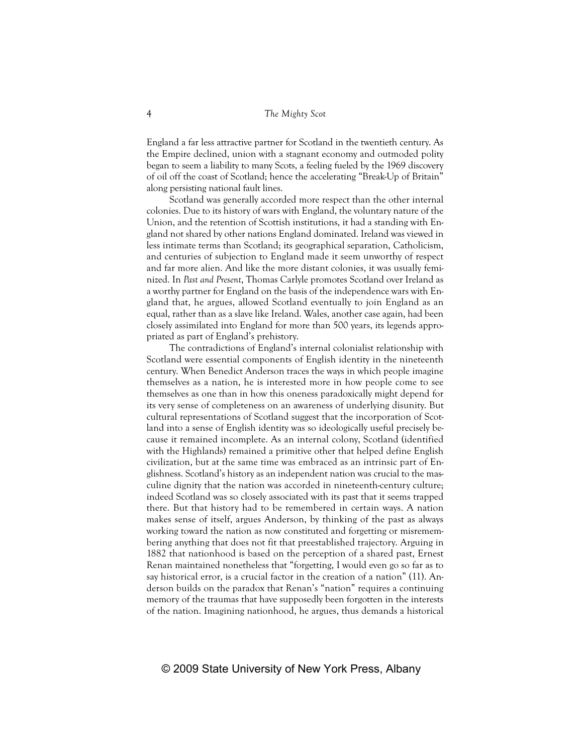England a far less attractive partner for Scotland in the twentieth century. As the Empire declined, union with a stagnant economy and outmoded polity began to seem a liability to many Scots, a feeling fueled by the 1969 discovery of oil off the coast of Scotland; hence the accelerating "Break-Up of Britain" along persisting national fault lines.

Scotland was generally accorded more respect than the other internal colonies. Due to its history of wars with England, the voluntary nature of the Union, and the retention of Scottish institutions, it had a standing with England not shared by other nations England dominated. Ireland was viewed in less intimate terms than Scotland; its geographical separation, Catholicism, and centuries of subjection to England made it seem unworthy of respect and far more alien. And like the more distant colonies, it was usually feminized. In *Past and Present*, Thomas Carlyle promotes Scotland over Ireland as a worthy partner for England on the basis of the independence wars with England that, he argues, allowed Scotland eventually to join England as an equal, rather than as a slave like Ireland. Wales, another case again, had been closely assimilated into England for more than 500 years, its legends appropriated as part of England's prehistory.

The contradictions of England's internal colonialist relationship with Scotland were essential components of English identity in the nineteenth century. When Benedict Anderson traces the ways in which people imagine themselves as a nation, he is interested more in how people come to see themselves as one than in how this oneness paradoxically might depend for its very sense of completeness on an awareness of underlying disunity. But cultural representations of Scotland suggest that the incorporation of Scotland into a sense of English identity was so ideologically useful precisely because it remained incomplete. As an internal colony, Scotland (identified with the Highlands) remained a primitive other that helped define English civilization, but at the same time was embraced as an intrinsic part of Englishness. Scotland's history as an independent nation was crucial to the masculine dignity that the nation was accorded in nineteenth-century culture; indeed Scotland was so closely associated with its past that it seems trapped there. But that history had to be remembered in certain ways. A nation makes sense of itself, argues Anderson, by thinking of the past as always working toward the nation as now constituted and forgetting or misremembering anything that does not fit that preestablished trajectory. Arguing in 1882 that nationhood is based on the perception of a shared past, Ernest Renan maintained nonetheless that "forgetting, I would even go so far as to say historical error, is a crucial factor in the creation of a nation" (11). Anderson builds on the paradox that Renan's "nation" requires a continuing memory of the traumas that have supposedly been forgotten in the interests of the nation. Imagining nationhood, he argues, thus demands a historical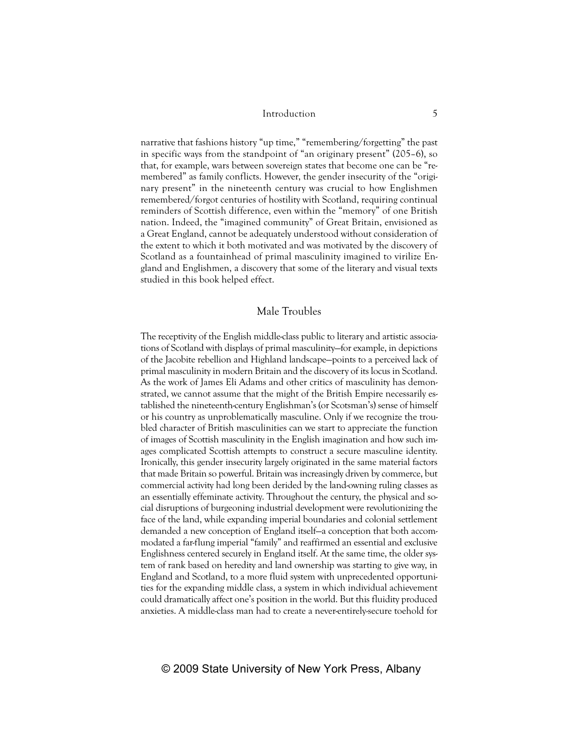narrative that fashions history "up time," "remembering/forgetting" the past in specific ways from the standpoint of "an originary present" (205–6), so that, for example, wars between sovereign states that become one can be "remembered" as family conflicts. However, the gender insecurity of the "originary present" in the nineteenth century was crucial to how Englishmen remembered/forgot centuries of hostility with Scotland, requiring continual reminders of Scottish difference, even within the "memory" of one British nation. Indeed, the "imagined community" of Great Britain, envisioned as a Great England, cannot be adequately understood without consideration of the extent to which it both motivated and was motivated by the discovery of Scotland as a fountainhead of primal masculinity imagined to virilize England and Englishmen, a discovery that some of the literary and visual texts studied in this book helped effect.

## Male Troubles

The receptivity of the English middle-class public to literary and artistic associations of Scotland with displays of primal masculinity—for example, in depictions of the Jacobite rebellion and Highland landscape—points to a perceived lack of primal masculinity in modern Britain and the discovery of its locus in Scotland. As the work of James Eli Adams and other critics of masculinity has demonstrated, we cannot assume that the might of the British Empire necessarily established the nineteenth-century Englishman's (or Scotsman's) sense of himself or his country as unproblematically masculine. Only if we recognize the troubled character of British masculinities can we start to appreciate the function of images of Scottish masculinity in the English imagination and how such images complicated Scottish attempts to construct a secure masculine identity. Ironically, this gender insecurity largely originated in the same material factors that made Britain so powerful. Britain was increasingly driven by commerce, but commercial activity had long been derided by the land-owning ruling classes as an essentially effeminate activity. Throughout the century, the physical and social disruptions of burgeoning industrial development were revolutionizing the face of the land, while expanding imperial boundaries and colonial settlement demanded a new conception of England itself—a conception that both accommodated a far-flung imperial "family" and reaffirmed an essential and exclusive Englishness centered securely in England itself. At the same time, the older system of rank based on heredity and land ownership was starting to give way, in England and Scotland, to a more fluid system with unprecedented opportunities for the expanding middle class, a system in which individual achievement could dramatically affect one's position in the world. But this fluidity produced anxieties. A middle-class man had to create a never-entirely-secure toehold for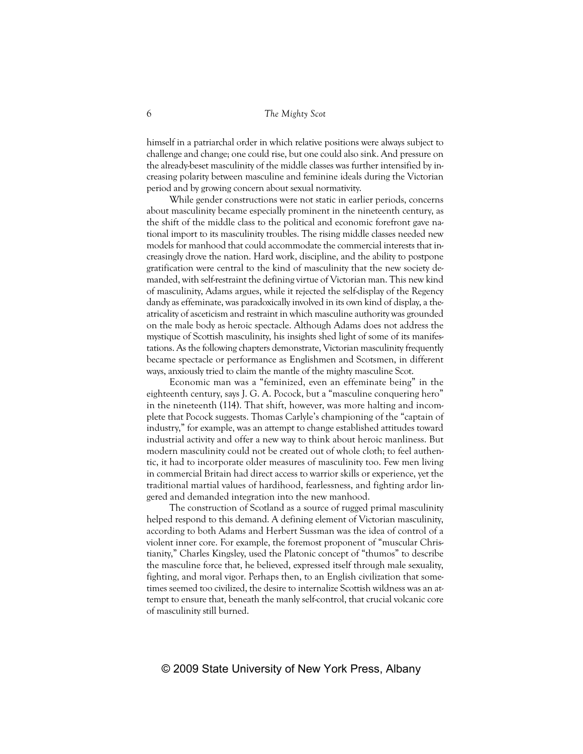himself in a patriarchal order in which relative positions were always subject to challenge and change; one could rise, but one could also sink. And pressure on the already-beset masculinity of the middle classes was further intensified by increasing polarity between masculine and feminine ideals during the Victorian period and by growing concern about sexual normativity.

While gender constructions were not static in earlier periods, concerns about masculinity became especially prominent in the nineteenth century, as the shift of the middle class to the political and economic forefront gave national import to its masculinity troubles. The rising middle classes needed new models for manhood that could accommodate the commercial interests that increasingly drove the nation. Hard work, discipline, and the ability to postpone gratification were central to the kind of masculinity that the new society demanded, with self-restraint the defining virtue of Victorian man. This new kind of masculinity, Adams argues, while it rejected the self-display of the Regency dandy as effeminate, was paradoxically involved in its own kind of display, a theatricality of asceticism and restraint in which masculine authority was grounded on the male body as heroic spectacle. Although Adams does not address the mystique of Scottish masculinity, his insights shed light of some of its manifestations. As the following chapters demonstrate, Victorian masculinity frequently became spectacle or performance as Englishmen and Scotsmen, in different ways, anxiously tried to claim the mantle of the mighty masculine Scot.

Economic man was a "feminized, even an effeminate being" in the eighteenth century, says J. G. A. Pocock, but a "masculine conquering hero" in the nineteenth (114). That shift, however, was more halting and incomplete that Pocock suggests. Thomas Carlyle's championing of the "captain of industry," for example, was an attempt to change established attitudes toward industrial activity and offer a new way to think about heroic manliness. But modern masculinity could not be created out of whole cloth; to feel authentic, it had to incorporate older measures of masculinity too. Few men living in commercial Britain had direct access to warrior skills or experience, yet the traditional martial values of hardihood, fearlessness, and fighting ardor lingered and demanded integration into the new manhood.

The construction of Scotland as a source of rugged primal masculinity helped respond to this demand. A defining element of Victorian masculinity, according to both Adams and Herbert Sussman was the idea of control of a violent inner core. For example, the foremost proponent of "muscular Christianity," Charles Kingsley, used the Platonic concept of "thumos" to describe the masculine force that, he believed, expressed itself through male sexuality, fighting, and moral vigor. Perhaps then, to an English civilization that sometimes seemed too civilized, the desire to internalize Scottish wildness was an attempt to ensure that, beneath the manly self-control, that crucial volcanic core of masculinity still burned.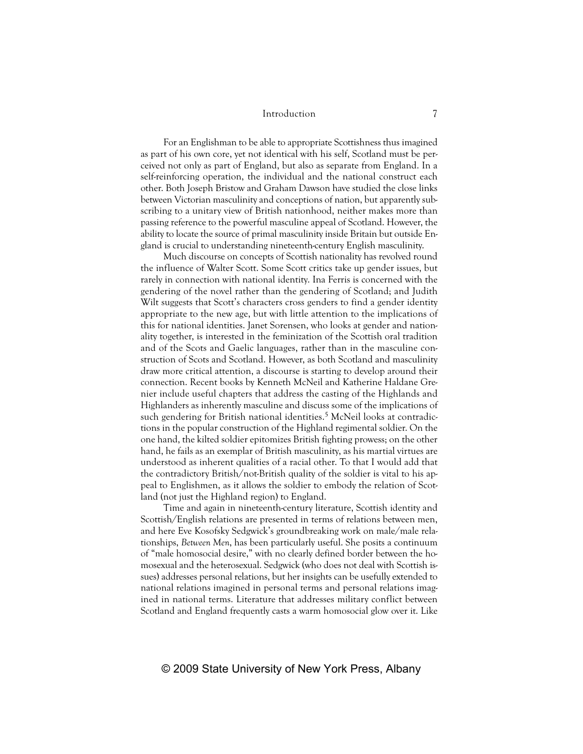For an Englishman to be able to appropriate Scottishness thus imagined as part of his own core, yet not identical with his self, Scotland must be perceived not only as part of England, but also as separate from England. In a self-reinforcing operation, the individual and the national construct each other. Both Joseph Bristow and Graham Dawson have studied the close links between Victorian masculinity and conceptions of nation, but apparently subscribing to a unitary view of British nationhood, neither makes more than passing reference to the powerful masculine appeal of Scotland. However, the ability to locate the source of primal masculinity inside Britain but outside England is crucial to understanding nineteenth-century English masculinity.

Much discourse on concepts of Scottish nationality has revolved round the influence of Walter Scott. Some Scott critics take up gender issues, but rarely in connection with national identity. Ina Ferris is concerned with the gendering of the novel rather than the gendering of Scotland; and Judith Wilt suggests that Scott's characters cross genders to find a gender identity appropriate to the new age, but with little attention to the implications of this for national identities. Janet Sorensen, who looks at gender and nationality together, is interested in the feminization of the Scottish oral tradition and of the Scots and Gaelic languages, rather than in the masculine construction of Scots and Scotland. However, as both Scotland and masculinity draw more critical attention, a discourse is starting to develop around their connection. Recent books by Kenneth McNeil and Katherine Haldane Grenier include useful chapters that address the casting of the Highlands and Highlanders as inherently masculine and discuss some of the implications of such gendering for British national identities.<sup>5</sup> McNeil looks at contradictions in the popular construction of the Highland regimental soldier. On the one hand, the kilted soldier epitomizes British fighting prowess; on the other hand, he fails as an exemplar of British masculinity, as his martial virtues are understood as inherent qualities of a racial other. To that I would add that the contradictory British/not-British quality of the soldier is vital to his appeal to Englishmen, as it allows the soldier to embody the relation of Scotland (not just the Highland region) to England.

Time and again in nineteenth-century literature, Scottish identity and Scottish/English relations are presented in terms of relations between men, and here Eve Kosofsky Sedgwick's groundbreaking work on male/male relationships, *Between Men*, has been particularly useful. She posits a continuum of "male homosocial desire," with no clearly defined border between the homosexual and the heterosexual. Sedgwick (who does not deal with Scottish issues) addresses personal relations, but her insights can be usefully extended to national relations imagined in personal terms and personal relations imagined in national terms. Literature that addresses military conflict between Scotland and England frequently casts a warm homosocial glow over it. Like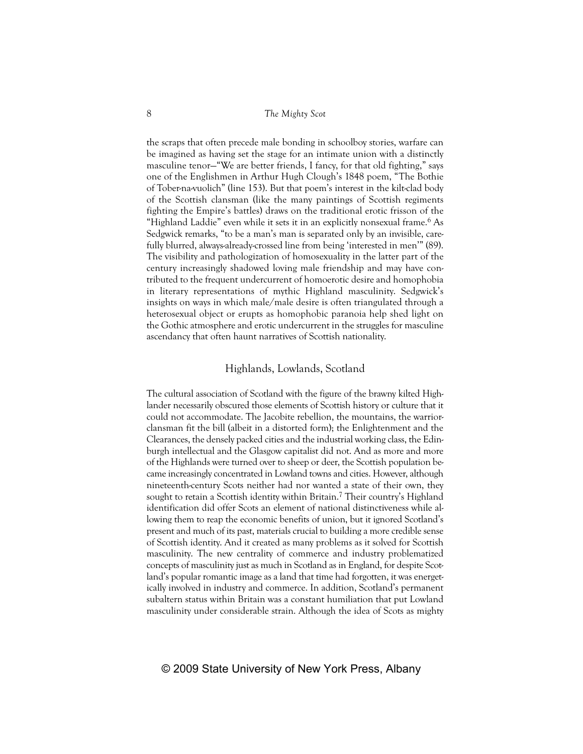the scraps that often precede male bonding in schoolboy stories, warfare can be imagined as having set the stage for an intimate union with a distinctly masculine tenor—"We are better friends, I fancy, for that old fighting," says one of the Englishmen in Arthur Hugh Clough's 1848 poem, "The Bothie of Tober-na-vuolich" (line 153). But that poem's interest in the kilt-clad body of the Scottish clansman (like the many paintings of Scottish regiments fighting the Empire's battles) draws on the traditional erotic frisson of the "Highland Laddie" even while it sets it in an explicitly nonsexual frame.6 As Sedgwick remarks, "to be a man's man is separated only by an invisible, carefully blurred, always-already-crossed line from being 'interested in men'" (89). The visibility and pathologization of homosexuality in the latter part of the century increasingly shadowed loving male friendship and may have contributed to the frequent undercurrent of homoerotic desire and homophobia in literary representations of mythic Highland masculinity. Sedgwick's insights on ways in which male/male desire is often triangulated through a heterosexual object or erupts as homophobic paranoia help shed light on the Gothic atmosphere and erotic undercurrent in the struggles for masculine ascendancy that often haunt narratives of Scottish nationality.

### Highlands, Lowlands, Scotland

The cultural association of Scotland with the figure of the brawny kilted Highlander necessarily obscured those elements of Scottish history or culture that it could not accommodate. The Jacobite rebellion, the mountains, the warriorclansman fit the bill (albeit in a distorted form); the Enlightenment and the Clearances, the densely packed cities and the industrial working class, the Edinburgh intellectual and the Glasgow capitalist did not. And as more and more of the Highlands were turned over to sheep or deer, the Scottish population became increasingly concentrated in Lowland towns and cities. However, although nineteenth-century Scots neither had nor wanted a state of their own, they sought to retain a Scottish identity within Britain.<sup>7</sup> Their country's Highland identification did offer Scots an element of national distinctiveness while allowing them to reap the economic benefits of union, but it ignored Scotland's present and much of its past, materials crucial to building a more credible sense of Scottish identity. And it created as many problems as it solved for Scottish masculinity. The new centrality of commerce and industry problematized concepts of masculinity just as much in Scotland as in England, for despite Scotland's popular romantic image as a land that time had forgotten, it was energetically involved in industry and commerce. In addition, Scotland's permanent subaltern status within Britain was a constant humiliation that put Lowland masculinity under considerable strain. Although the idea of Scots as mighty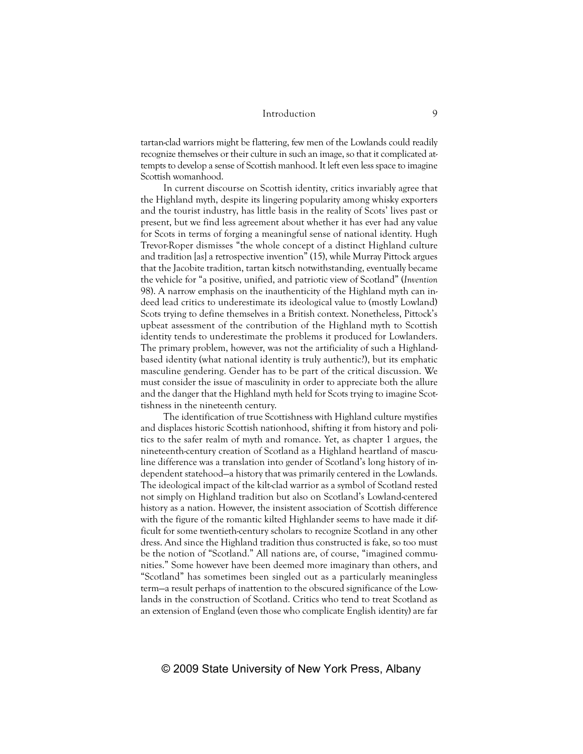tartan-clad warriors might be flattering, few men of the Lowlands could readily recognize themselves or their culture in such an image, so that it complicated attempts to develop a sense of Scottish manhood. It left even less space to imagine Scottish womanhood.

In current discourse on Scottish identity, critics invariably agree that the Highland myth, despite its lingering popularity among whisky exporters and the tourist industry, has little basis in the reality of Scots' lives past or present, but we find less agreement about whether it has ever had any value for Scots in terms of forging a meaningful sense of national identity. Hugh Trevor-Roper dismisses "the whole concept of a distinct Highland culture and tradition [as] a retrospective invention" (15), while Murray Pittock argues that the Jacobite tradition, tartan kitsch notwithstanding, eventually became the vehicle for "a positive, unified, and patriotic view of Scotland" (*Invention* 98). A narrow emphasis on the inauthenticity of the Highland myth can indeed lead critics to underestimate its ideological value to (mostly Lowland) Scots trying to define themselves in a British context. Nonetheless, Pittock's upbeat assessment of the contribution of the Highland myth to Scottish identity tends to underestimate the problems it produced for Lowlanders. The primary problem, however, was not the artificiality of such a Highlandbased identity (what national identity is truly authentic?), but its emphatic masculine gendering. Gender has to be part of the critical discussion. We must consider the issue of masculinity in order to appreciate both the allure and the danger that the Highland myth held for Scots trying to imagine Scottishness in the nineteenth century.

The identification of true Scottishness with Highland culture mystifies and displaces historic Scottish nationhood, shifting it from history and politics to the safer realm of myth and romance. Yet, as chapter 1 argues, the nineteenth-century creation of Scotland as a Highland heartland of masculine difference was a translation into gender of Scotland's long history of independent statehood—a history that was primarily centered in the Lowlands. The ideological impact of the kilt-clad warrior as a symbol of Scotland rested not simply on Highland tradition but also on Scotland's Lowland-centered history as a nation. However, the insistent association of Scottish difference with the figure of the romantic kilted Highlander seems to have made it difficult for some twentieth-century scholars to recognize Scotland in any other dress. And since the Highland tradition thus constructed is fake, so too must be the notion of "Scotland." All nations are, of course, "imagined communities." Some however have been deemed more imaginary than others, and "Scotland" has sometimes been singled out as a particularly meaningless term—a result perhaps of inattention to the obscured significance of the Lowlands in the construction of Scotland. Critics who tend to treat Scotland as an extension of England (even those who complicate English identity) are far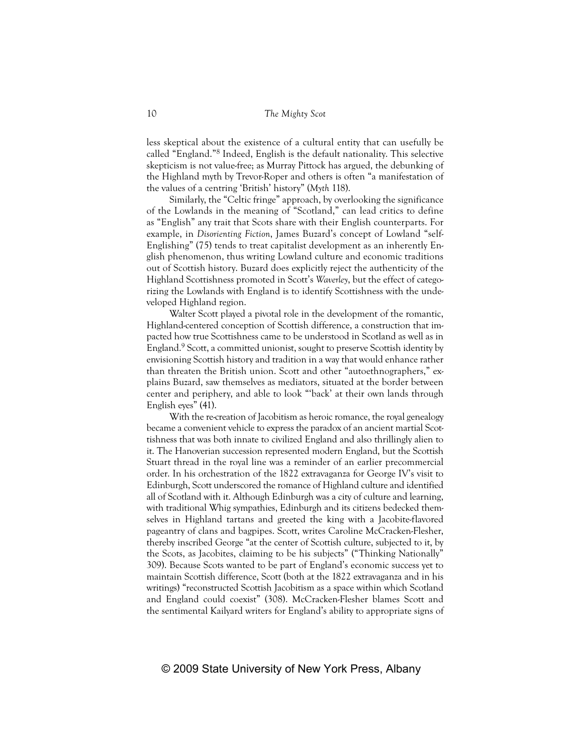less skeptical about the existence of a cultural entity that can usefully be called "England."8 Indeed, English is the default nationality. This selective skepticism is not value-free; as Murray Pittock has argued, the debunking of the Highland myth by Trevor-Roper and others is often "a manifestation of the values of a centring 'British' history" (*Myth* 118).

Similarly, the "Celtic fringe" approach, by overlooking the significance of the Lowlands in the meaning of "Scotland," can lead critics to define as "English" any trait that Scots share with their English counterparts. For example, in *Disorienting Fiction*, James Buzard's concept of Lowland "self-Englishing" (75) tends to treat capitalist development as an inherently English phenomenon, thus writing Lowland culture and economic traditions out of Scottish history. Buzard does explicitly reject the authenticity of the Highland Scottishness promoted in Scott's *Waverley*, but the effect of categorizing the Lowlands with England is to identify Scottishness with the undeveloped Highland region.

Walter Scott played a pivotal role in the development of the romantic, Highland-centered conception of Scottish difference, a construction that impacted how true Scottishness came to be understood in Scotland as well as in England.9 Scott, a committed unionist, sought to preserve Scottish identity by envisioning Scottish history and tradition in a way that would enhance rather than threaten the British union. Scott and other "autoethnographers," explains Buzard, saw themselves as mediators, situated at the border between center and periphery, and able to look "'back' at their own lands through English eyes" (41).

With the re-creation of Jacobitism as heroic romance, the royal genealogy became a convenient vehicle to express the paradox of an ancient martial Scottishness that was both innate to civilized England and also thrillingly alien to it. The Hanoverian succession represented modern England, but the Scottish Stuart thread in the royal line was a reminder of an earlier precommercial order. In his orchestration of the 1822 extravaganza for George IV's visit to Edinburgh, Scott underscored the romance of Highland culture and identified all of Scotland with it. Although Edinburgh was a city of culture and learning, with traditional Whig sympathies, Edinburgh and its citizens bedecked themselves in Highland tartans and greeted the king with a Jacobite-flavored pageantry of clans and bagpipes. Scott, writes Caroline McCracken-Flesher, thereby inscribed George "at the center of Scottish culture, subjected to it, by the Scots, as Jacobites, claiming to be his subjects" ("Thinking Nationally" 309). Because Scots wanted to be part of England's economic success yet to maintain Scottish difference, Scott (both at the 1822 extravaganza and in his writings) "reconstructed Scottish Jacobitism as a space within which Scotland and England could coexist" (308). McCracken-Flesher blames Scott and the sentimental Kailyard writers for England's ability to appropriate signs of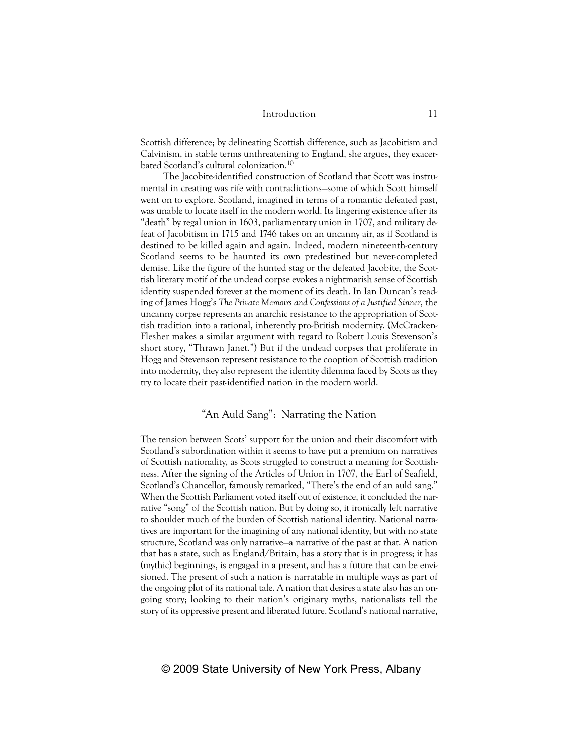Scottish difference; by delineating Scottish difference, such as Jacobitism and Calvinism, in stable terms unthreatening to England, she argues, they exacerbated Scotland's cultural colonization.10

The Jacobite-identified construction of Scotland that Scott was instrumental in creating was rife with contradictions—some of which Scott himself went on to explore. Scotland, imagined in terms of a romantic defeated past, was unable to locate itself in the modern world. Its lingering existence after its "death" by regal union in 1603, parliamentary union in 1707, and military defeat of Jacobitism in 1715 and 1746 takes on an uncanny air, as if Scotland is destined to be killed again and again. Indeed, modern nineteenth-century Scotland seems to be haunted its own predestined but never-completed demise. Like the figure of the hunted stag or the defeated Jacobite, the Scottish literary motif of the undead corpse evokes a nightmarish sense of Scottish identity suspended forever at the moment of its death. In Ian Duncan's reading of James Hogg's *The Private Memoirs and Confessions of a Justified Sinner*, the uncanny corpse represents an anarchic resistance to the appropriation of Scottish tradition into a rational, inherently pro-British modernity. (McCracken-Flesher makes a similar argument with regard to Robert Louis Stevenson's short story, "Thrawn Janet.") But if the undead corpses that proliferate in Hogg and Stevenson represent resistance to the cooption of Scottish tradition into modernity, they also represent the identity dilemma faced by Scots as they try to locate their past-identified nation in the modern world.

# "An Auld Sang": Narrating the Nation

The tension between Scots' support for the union and their discomfort with Scotland's subordination within it seems to have put a premium on narratives of Scottish nationality, as Scots struggled to construct a meaning for Scottishness. After the signing of the Articles of Union in 1707, the Earl of Seafield, Scotland's Chancellor, famously remarked, "There's the end of an auld sang." When the Scottish Parliament voted itself out of existence, it concluded the narrative "song" of the Scottish nation. But by doing so, it ironically left narrative to shoulder much of the burden of Scottish national identity. National narratives are important for the imagining of any national identity, but with no state structure, Scotland was only narrative—a narrative of the past at that. A nation that has a state, such as England/Britain, has a story that is in progress; it has (mythic) beginnings, is engaged in a present, and has a future that can be envisioned. The present of such a nation is narratable in multiple ways as part of the ongoing plot of its national tale. A nation that desires a state also has an ongoing story; looking to their nation's originary myths, nationalists tell the story of its oppressive present and liberated future. Scotland's national narrative,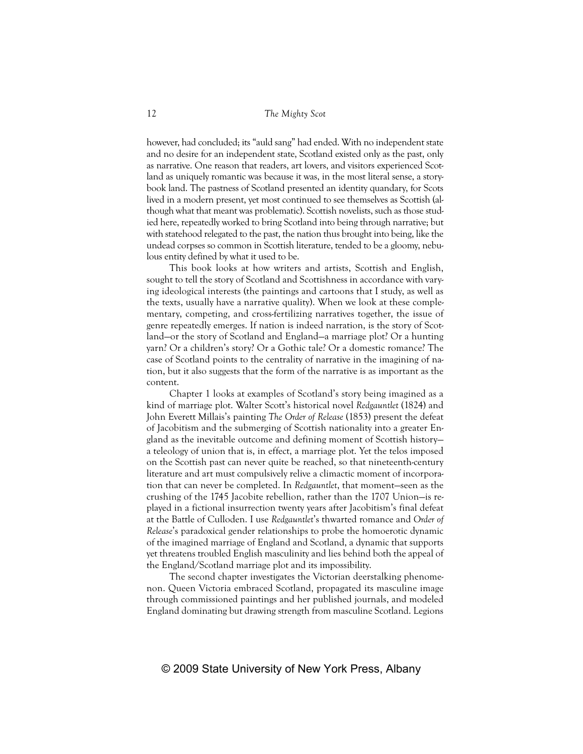however, had concluded; its "auld sang" had ended. With no independent state and no desire for an independent state, Scotland existed only as the past, only as narrative. One reason that readers, art lovers, and visitors experienced Scotland as uniquely romantic was because it was, in the most literal sense, a storybook land. The pastness of Scotland presented an identity quandary, for Scots lived in a modern present, yet most continued to see themselves as Scottish (although what that meant was problematic). Scottish novelists, such as those studied here, repeatedly worked to bring Scotland into being through narrative; but with statehood relegated to the past, the nation thus brought into being, like the undead corpses so common in Scottish literature, tended to be a gloomy, nebulous entity defined by what it used to be.

This book looks at how writers and artists, Scottish and English, sought to tell the story of Scotland and Scottishness in accordance with varying ideological interests (the paintings and cartoons that I study, as well as the texts, usually have a narrative quality). When we look at these complementary, competing, and cross-fertilizing narratives together, the issue of genre repeatedly emerges. If nation is indeed narration, is the story of Scotland—or the story of Scotland and England—a marriage plot? Or a hunting yarn? Or a children's story? Or a Gothic tale? Or a domestic romance? The case of Scotland points to the centrality of narrative in the imagining of nation, but it also suggests that the form of the narrative is as important as the content.

Chapter 1 looks at examples of Scotland's story being imagined as a kind of marriage plot. Walter Scott's historical novel *Redgauntlet* (1824) and John Everett Millais's painting *The Order of Release* (1853) present the defeat of Jacobitism and the submerging of Scottish nationality into a greater England as the inevitable outcome and defining moment of Scottish history a teleology of union that is, in effect, a marriage plot. Yet the telos imposed on the Scottish past can never quite be reached, so that nineteenth-century literature and art must compulsively relive a climactic moment of incorporation that can never be completed. In *Redgauntlet*, that moment—seen as the crushing of the 1745 Jacobite rebellion, rather than the 1707 Union—is replayed in a fictional insurrection twenty years after Jacobitism's final defeat at the Battle of Culloden. I use *Redgauntlet*'s thwarted romance and *Order of Release*'s paradoxical gender relationships to probe the homoerotic dynamic of the imagined marriage of England and Scotland, a dynamic that supports yet threatens troubled English masculinity and lies behind both the appeal of the England/Scotland marriage plot and its impossibility.

The second chapter investigates the Victorian deerstalking phenomenon. Queen Victoria embraced Scotland, propagated its masculine image through commissioned paintings and her published journals, and modeled England dominating but drawing strength from masculine Scotland. Legions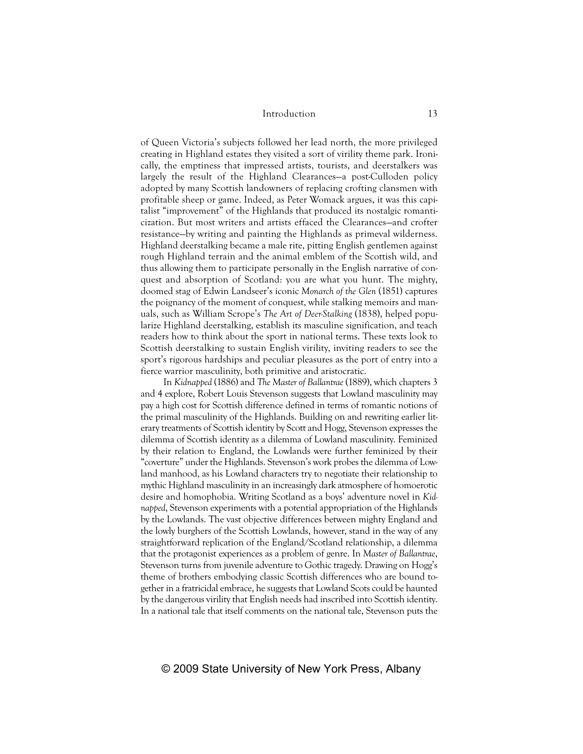of Queen Victoria's subjects followed her lead north, the more privileged creating in Highland estates they visited a sort of virility theme park. Ironically, the emptiness that impressed artists, tourists, and deerstalkers was largely the result of the Highland Clearances—a post-Culloden policy adopted by many Scottish landowners of replacing crofting clansmen with profitable sheep or game. Indeed, as Peter Womack argues, it was this capitalist "improvement" of the Highlands that produced its nostalgic romanticization. But most writers and artists effaced the Clearances—and crofter resistance—by writing and painting the Highlands as primeval wilderness. Highland deerstalking became a male rite, pitting English gentlemen against rough Highland terrain and the animal emblem of the Scottish wild, and thus allowing them to participate personally in the English narrative of conquest and absorption of Scotland: you are what you hunt. The mighty, doomed stag of Edwin Landseer's iconic *Monarch of the Glen* (1851) captures the poignancy of the moment of conquest, while stalking memoirs and manuals, such as William Scrope's *The Art of Deer-Stalking* (1838), helped popularize Highland deerstalking, establish its masculine signification, and teach readers how to think about the sport in national terms. These texts look to Scottish deerstalking to sustain English virility, inviting readers to see the sport's rigorous hardships and peculiar pleasures as the port of entry into a fierce warrior masculinity, both primitive and aristocratic.

In *Kidnapped* (1886) and *The Master of Ballantrae* (1889), which chapters 3 and 4 explore, Robert Louis Stevenson suggests that Lowland masculinity may pay a high cost for Scottish difference defined in terms of romantic notions of the primal masculinity of the Highlands. Building on and rewriting earlier literary treatments of Scottish identity by Scott and Hogg, Stevenson expresses the dilemma of Scottish identity as a dilemma of Lowland masculinity. Feminized by their relation to England, the Lowlands were further feminized by their "coverture" under the Highlands. Stevenson's work probes the dilemma of Lowland manhood, as his Lowland characters try to negotiate their relationship to mythic Highland masculinity in an increasingly dark atmosphere of homoerotic desire and homophobia. Writing Scotland as a boys' adventure novel in *Kidnapped*, Stevenson experiments with a potential appropriation of the Highlands by the Lowlands. The vast objective differences between mighty England and the lowly burghers of the Scottish Lowlands, however, stand in the way of any straightforward replication of the England/Scotland relationship, a dilemma that the protagonist experiences as a problem of genre. In *Master of Ballantrae*, Stevenson turns from juvenile adventure to Gothic tragedy. Drawing on Hogg's theme of brothers embodying classic Scottish differences who are bound together in a fratricidal embrace, he suggests that Lowland Scots could be haunted by the dangerous virility that English needs had inscribed into Scottish identity. In a national tale that itself comments on the national tale, Stevenson puts the